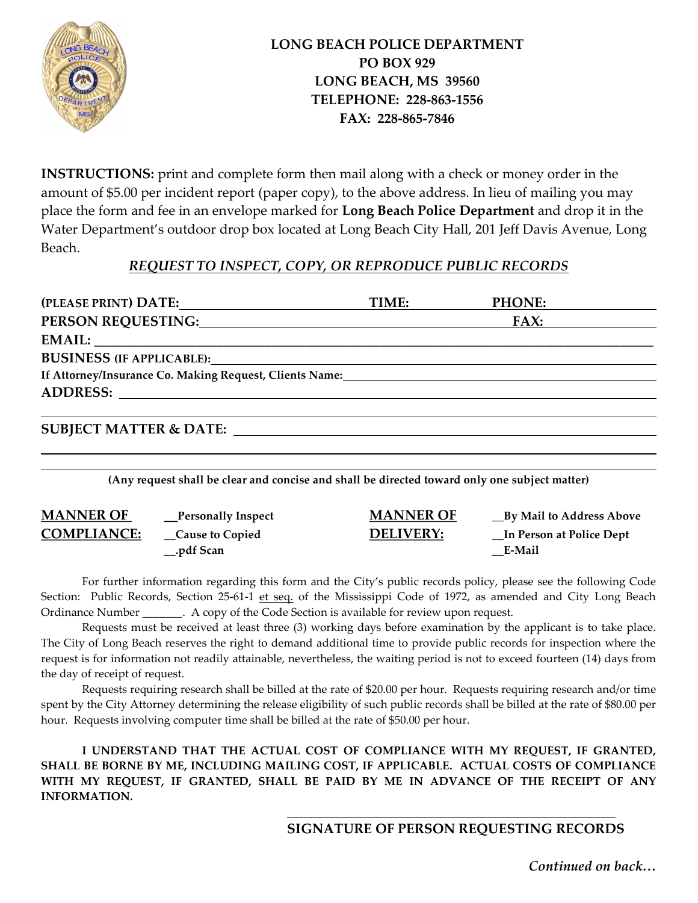

 $\overline{a}$ 

INSTRUCTIONS: print and complete form then mail along with a check or money order in the amount of \$5.00 per incident report (paper copy), to the above address. In lieu of mailing you may place the form and fee in an envelope marked for Long Beach Police Department and drop it in the Water Department's outdoor drop box located at Long Beach City Hall, 201 Jeff Davis Avenue, Long Beach.

## REQUEST TO INSPECT, COPY, OR REPRODUCE PUBLIC RECORDS

|                                                                                                                                                                                                                                | TIME: | PHONE: |
|--------------------------------------------------------------------------------------------------------------------------------------------------------------------------------------------------------------------------------|-------|--------|
| PERSON REQUESTING: North Contract Contract Contract Contract Contract Contract Contract Contract Contract Contract Contract Contract Contract Contract Contract Contract Contract Contract Contract Contract Contract Contract |       | FAX:   |
|                                                                                                                                                                                                                                |       |        |
|                                                                                                                                                                                                                                |       |        |
|                                                                                                                                                                                                                                |       |        |
|                                                                                                                                                                                                                                |       |        |
|                                                                                                                                                                                                                                |       |        |
| <b>SUBJECT MATTER &amp; DATE:</b>                                                                                                                                                                                              |       |        |

(Any request shall be clear and concise and shall be directed toward only one subject matter)

| <b>MANNER OF</b>   | <b>Personally Inspect</b> | <b>MANNER OF</b> | __By Mail to Address Above |  |  |
|--------------------|---------------------------|------------------|----------------------------|--|--|
| <b>COMPLIANCE:</b> | <b>Cause to Copied</b>    | <b>DELIVERY:</b> | In Person at Police Dept   |  |  |
| $\_\_$ pdf Scan    |                           |                  | <b>E-Mail</b>              |  |  |

For further information regarding this form and the City's public records policy, please see the following Code Section: Public Records, Section 25-61-1 et seq. of the Mississippi Code of 1972, as amended and City Long Beach Ordinance Number \_\_\_\_\_\_\_. A copy of the Code Section is available for review upon request.

 Requests must be received at least three (3) working days before examination by the applicant is to take place. The City of Long Beach reserves the right to demand additional time to provide public records for inspection where the request is for information not readily attainable, nevertheless, the waiting period is not to exceed fourteen (14) days from the day of receipt of request.

 Requests requiring research shall be billed at the rate of \$20.00 per hour. Requests requiring research and/or time spent by the City Attorney determining the release eligibility of such public records shall be billed at the rate of \$80.00 per hour. Requests involving computer time shall be billed at the rate of \$50.00 per hour.

 I UNDERSTAND THAT THE ACTUAL COST OF COMPLIANCE WITH MY REQUEST, IF GRANTED, SHALL BE BORNE BY ME, INCLUDING MAILING COST, IF APPLICABLE. ACTUAL COSTS OF COMPLIANCE WITH MY REQUEST, IF GRANTED, SHALL BE PAID BY ME IN ADVANCE OF THE RECEIPT OF ANY INFORMATION.

## SIGNATURE OF PERSON REQUESTING RECORDS

Continued on back…